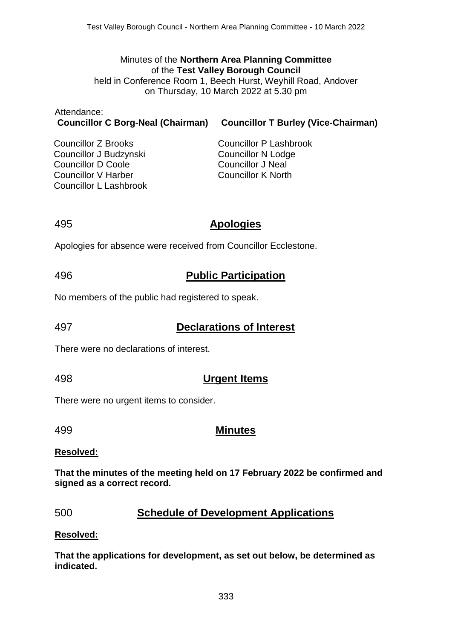#### Minutes of the **Northern Area Planning Committee** of the **Test Valley Borough Council**

held in Conference Room 1, Beech Hurst, Weyhill Road, Andover on Thursday, 10 March 2022 at 5.30 pm

| Attendance:                              |                       |
|------------------------------------------|-----------------------|
| <b>Councillor C Borg-Neal (Chairman)</b> | <b>Councillor T E</b> |

**Burley (Vice-Chairman)** 

Councillor Z Brooks Councillor J Budzynski Councillor D Coole Councillor V Harber Councillor L Lashbrook

Councillor P Lashbrook Councillor N Lodge Councillor J Neal Councillor K North

## 495 **Apologies**

Apologies for absence were received from Councillor Ecclestone.

# 496 **Public Participation**

No members of the public had registered to speak.

# 497 **Declarations of Interest**

There were no declarations of interest.

# 498 **Urgent Items**

There were no urgent items to consider.

# 499 **Minutes**

### **Resolved:**

**That the minutes of the meeting held on 17 February 2022 be confirmed and signed as a correct record.**

# 500 **Schedule of Development Applications**

### **Resolved:**

**That the applications for development, as set out below, be determined as indicated.**